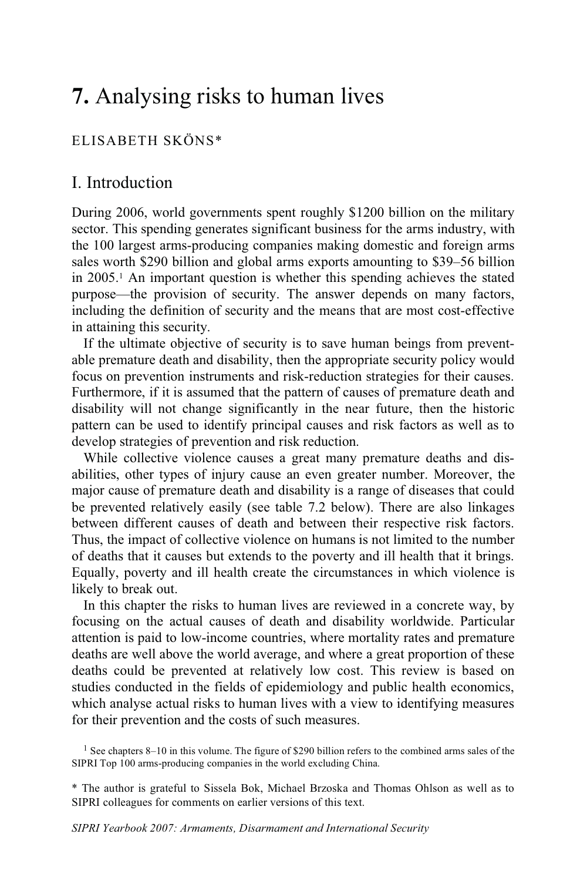# **7.** Analysing risks to human lives

# ELISABETH SKÖNS\*

# I. Introduction

During 2006, world governments spent roughly \$1200 billion on the military sector. This spending generates significant business for the arms industry, with the 100 largest arms-producing companies making domestic and foreign arms sales worth \$290 billion and global arms exports amounting to \$39–56 billion in 2005.1 An important question is whether this spending achieves the stated purpose—the provision of security. The answer depends on many factors, including the definition of security and the means that are most cost-effective in attaining this security.

If the ultimate objective of security is to save human beings from preventable premature death and disability, then the appropriate security policy would focus on prevention instruments and risk-reduction strategies for their causes. Furthermore, if it is assumed that the pattern of causes of premature death and disability will not change significantly in the near future, then the historic pattern can be used to identify principal causes and risk factors as well as to develop strategies of prevention and risk reduction.

While collective violence causes a great many premature deaths and disabilities, other types of injury cause an even greater number. Moreover, the major cause of premature death and disability is a range of diseases that could be prevented relatively easily (see table 7.2 below). There are also linkages between different causes of death and between their respective risk factors. Thus, the impact of collective violence on humans is not limited to the number of deaths that it causes but extends to the poverty and ill health that it brings. Equally, poverty and ill health create the circumstances in which violence is likely to break out.

In this chapter the risks to human lives are reviewed in a concrete way, by focusing on the actual causes of death and disability worldwide. Particular attention is paid to low-income countries, where mortality rates and premature deaths are well above the world average, and where a great proportion of these deaths could be prevented at relatively low cost. This review is based on studies conducted in the fields of epidemiology and public health economics, which analyse actual risks to human lives with a view to identifying measures for their prevention and the costs of such measures.

<sup>1</sup> See chapters 8–10 in this volume. The figure of \$290 billion refers to the combined arms sales of the SIPRI Top 100 arms-producing companies in the world excluding China.

\* The author is grateful to Sissela Bok, Michael Brzoska and Thomas Ohlson as well as to SIPRI colleagues for comments on earlier versions of this text.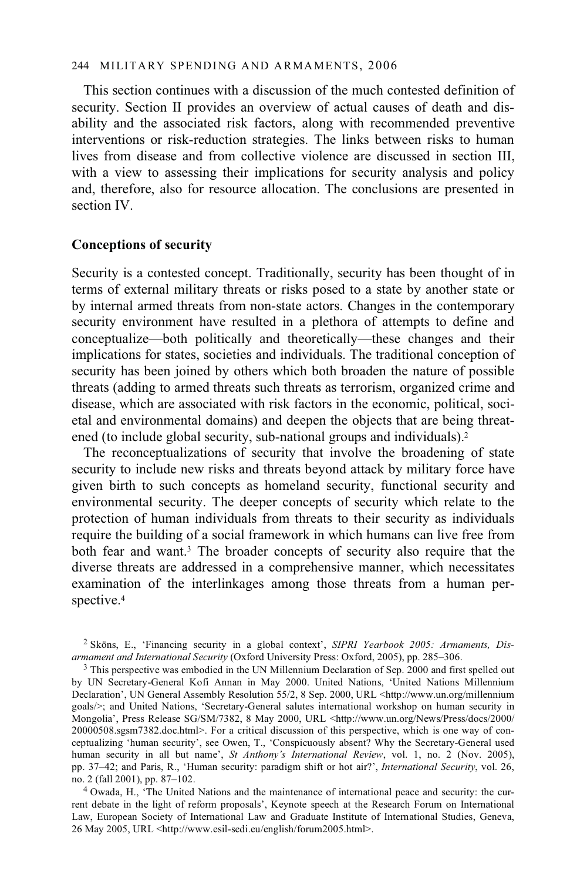## 244 MILITARY SPENDING AND ARMAMENTS, 2006

This section continues with a discussion of the much contested definition of security. Section II provides an overview of actual causes of death and disability and the associated risk factors, along with recommended preventive interventions or risk-reduction strategies. The links between risks to human lives from disease and from collective violence are discussed in section III, with a view to assessing their implications for security analysis and policy and, therefore, also for resource allocation. The conclusions are presented in section IV.

# **Conceptions of security**

Security is a contested concept. Traditionally, security has been thought of in terms of external military threats or risks posed to a state by another state or by internal armed threats from non-state actors. Changes in the contemporary security environment have resulted in a plethora of attempts to define and conceptualize—both politically and theoretically—these changes and their implications for states, societies and individuals. The traditional conception of security has been joined by others which both broaden the nature of possible threats (adding to armed threats such threats as terrorism, organized crime and disease, which are associated with risk factors in the economic, political, societal and environmental domains) and deepen the objects that are being threatened (to include global security, sub-national groups and individuals).2

The reconceptualizations of security that involve the broadening of state security to include new risks and threats beyond attack by military force have given birth to such concepts as homeland security, functional security and environmental security. The deeper concepts of security which relate to the protection of human individuals from threats to their security as individuals require the building of a social framework in which humans can live free from both fear and want.<sup>3</sup> The broader concepts of security also require that the diverse threats are addressed in a comprehensive manner, which necessitates examination of the interlinkages among those threats from a human perspective.4

<sup>&</sup>lt;sup>2</sup> Sköns, E., 'Financing security in a global context', *SIPRI Yearbook 2005*: *Armaments, Disarmament and International Security* (Oxford University Press: Oxford, 2005), pp. 285–306.

<sup>&</sup>lt;sup>3</sup> This perspective was embodied in the UN Millennium Declaration of Sep. 2000 and first spelled out by UN Secretary-General Kofi Annan in May 2000. United Nations, 'United Nations Millennium Declaration', UN General Assembly Resolution 55/2, 8 Sep. 2000, URL <http://www.un.org/millennium goals/>; and United Nations, 'Secretary-General salutes international workshop on human security in Mongolia', Press Release SG/SM/7382, 8 May 2000, URL <http://www.un.org/News/Press/docs/2000/ 20000508.sgsm7382.doc.html>. For a critical discussion of this perspective, which is one way of conceptualizing 'human security', see Owen, T., 'Conspicuously absent? Why the Secretary-General used human security in all but name', *St Anthony's International Review*, vol. 1, no. 2 (Nov. 2005), pp. 37–42; and Paris, R., 'Human security: paradigm shift or hot air?', *International Security*, vol. 26, no. 2 (fall 2001), pp. 87–102.<br><sup>4</sup> Owada, H., 'The United Nations and the maintenance of international peace and security: the cur-

rent debate in the light of reform proposals', Keynote speech at the Research Forum on International Law, European Society of International Law and Graduate Institute of International Studies, Geneva, 26 May 2005, URL <http://www.esil-sedi.eu/english/forum2005.html>.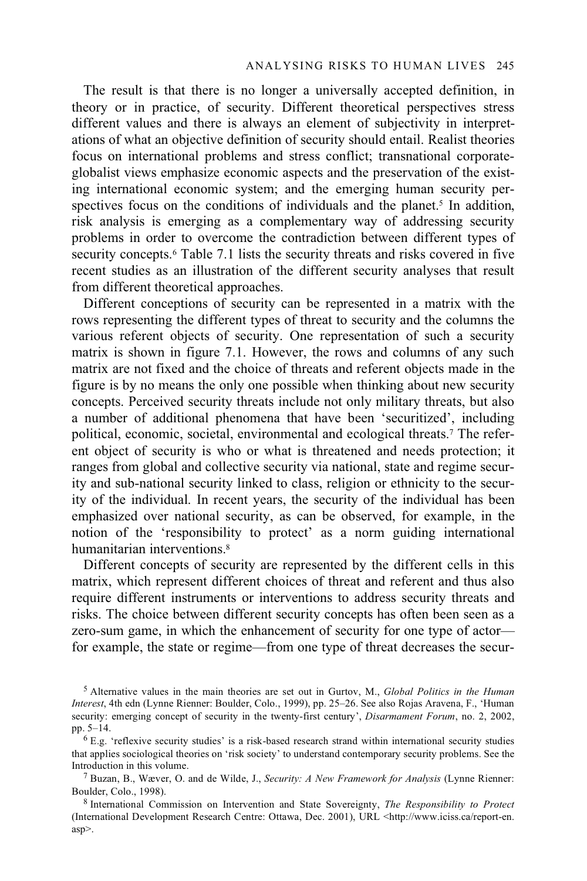The result is that there is no longer a universally accepted definition, in theory or in practice, of security. Different theoretical perspectives stress different values and there is always an element of subjectivity in interpretations of what an objective definition of security should entail. Realist theories focus on international problems and stress conflict; transnational corporateglobalist views emphasize economic aspects and the preservation of the existing international economic system; and the emerging human security perspectives focus on the conditions of individuals and the planet.<sup>5</sup> In addition, risk analysis is emerging as a complementary way of addressing security problems in order to overcome the contradiction between different types of security concepts.<sup>6</sup> Table 7.1 lists the security threats and risks covered in five recent studies as an illustration of the different security analyses that result from different theoretical approaches.

Different conceptions of security can be represented in a matrix with the rows representing the different types of threat to security and the columns the various referent objects of security. One representation of such a security matrix is shown in figure 7.1. However, the rows and columns of any such matrix are not fixed and the choice of threats and referent objects made in the figure is by no means the only one possible when thinking about new security concepts. Perceived security threats include not only military threats, but also a number of additional phenomena that have been 'securitized', including political, economic, societal, environmental and ecological threats.7 The referent object of security is who or what is threatened and needs protection; it ranges from global and collective security via national, state and regime security and sub-national security linked to class, religion or ethnicity to the security of the individual. In recent years, the security of the individual has been emphasized over national security, as can be observed, for example, in the notion of the 'responsibility to protect' as a norm guiding international humanitarian interventions.<sup>8</sup>

Different concepts of security are represented by the different cells in this matrix, which represent different choices of threat and referent and thus also require different instruments or interventions to address security threats and risks. The choice between different security concepts has often been seen as a zero-sum game, in which the enhancement of security for one type of actor for example, the state or regime—from one type of threat decreases the secur-

<sup>5</sup> Alternative values in the main theories are set out in Gurtov, M., *Global Politics in the Human Interest*, 4th edn (Lynne Rienner: Boulder, Colo., 1999), pp. 25–26. See also Rojas Aravena, F., 'Human security: emerging concept of security in the twenty-first century', *Disarmament Forum*, no. 2, 2002, pp. 5–14.

 $6E.g.$  'reflexive security studies' is a risk-based research strand within international security studies that applies sociological theories on 'risk society' to understand contemporary security problems. See the

Introduction in this volume. 7 Buzan, B., Wæver, O. and de Wilde, J., *Security: A New Framework for Analysis* (Lynne Rienner:

 $8$  International Commission on Intervention and State Sovereignty, *The Responsibility to Protect* (International Development Research Centre: Ottawa, Dec. 2001), URL <http://www.iciss.ca/report-en. asp>.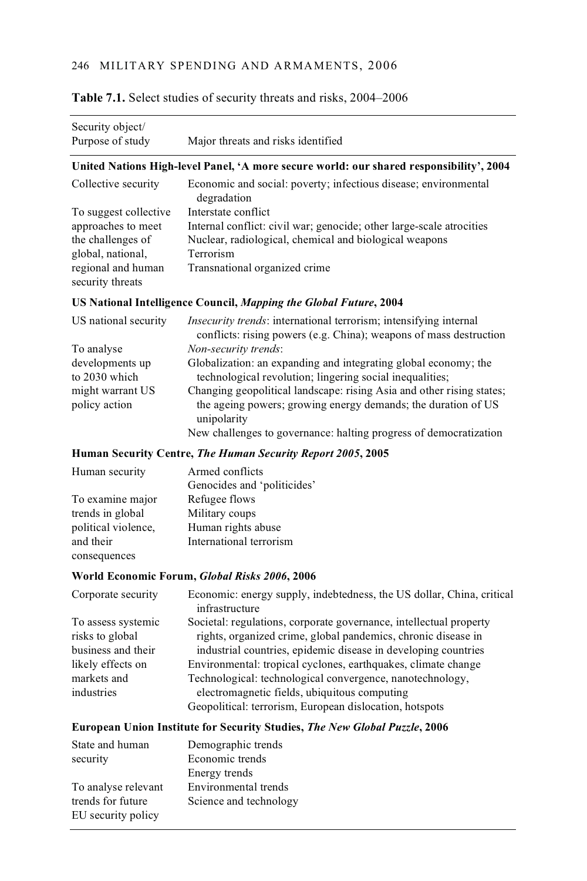| Security object/                  |                                                                                                                                                       |  |  |  |  |  |
|-----------------------------------|-------------------------------------------------------------------------------------------------------------------------------------------------------|--|--|--|--|--|
| Purpose of study                  | Major threats and risks identified                                                                                                                    |  |  |  |  |  |
|                                   | United Nations High-level Panel, 'A more secure world: our shared responsibility', 2004                                                               |  |  |  |  |  |
| Collective security               | Economic and social: poverty; infectious disease; environmental<br>degradation                                                                        |  |  |  |  |  |
| To suggest collective             | Interstate conflict                                                                                                                                   |  |  |  |  |  |
| approaches to meet                | Internal conflict: civil war; genocide; other large-scale atrocities                                                                                  |  |  |  |  |  |
| the challenges of                 | Nuclear, radiological, chemical and biological weapons                                                                                                |  |  |  |  |  |
| global, national,                 | Terrorism                                                                                                                                             |  |  |  |  |  |
| regional and human                | Transnational organized crime                                                                                                                         |  |  |  |  |  |
| security threats                  |                                                                                                                                                       |  |  |  |  |  |
|                                   | US National Intelligence Council, Mapping the Global Future, 2004                                                                                     |  |  |  |  |  |
| US national security              | <i>Insecurity trends:</i> international terrorism; intensifying internal<br>conflicts: rising powers (e.g. China); weapons of mass destruction        |  |  |  |  |  |
| To analyse                        | Non-security trends:                                                                                                                                  |  |  |  |  |  |
| developments up<br>to 2030 which  | Globalization: an expanding and integrating global economy; the<br>technological revolution; lingering social inequalities;                           |  |  |  |  |  |
| might warrant US<br>policy action | Changing geopolitical landscape: rising Asia and other rising states;<br>the ageing powers; growing energy demands; the duration of US<br>unipolarity |  |  |  |  |  |
|                                   | New challenges to governance: halting progress of democratization                                                                                     |  |  |  |  |  |
|                                   | Human Security Centre, The Human Security Report 2005, 2005                                                                                           |  |  |  |  |  |
| Human security                    | Armed conflicts                                                                                                                                       |  |  |  |  |  |
|                                   | Genocides and 'politicides'                                                                                                                           |  |  |  |  |  |
| To examine major                  | Refugee flows                                                                                                                                         |  |  |  |  |  |
| trends in global                  | Military coups                                                                                                                                        |  |  |  |  |  |
| political violence,               | Human rights abuse                                                                                                                                    |  |  |  |  |  |
| and their<br>consequences         | International terrorism                                                                                                                               |  |  |  |  |  |
|                                   | World Economic Forum, Global Risks 2006, 2006                                                                                                         |  |  |  |  |  |
|                                   |                                                                                                                                                       |  |  |  |  |  |

# **Table 7.1.** Select studies of security threats and risks, 2004–2006

| Corporate security | Economic: energy supply, indebtedness, the US dollar, China, critical<br>infrastructure |
|--------------------|-----------------------------------------------------------------------------------------|
| To assess systemic | Societal: regulations, corporate governance, intellectual property                      |
| risks to global    | rights, organized crime, global pandemics, chronic disease in                           |
| business and their | industrial countries, epidemic disease in developing countries                          |
| likely effects on  | Environmental: tropical cyclones, earthquakes, climate change                           |
| markets and        | Technological: technological convergence, nanotechnology,                               |
| industries         | electromagnetic fields, ubiquitous computing                                            |
|                    | Geopolitical: terrorism, European dislocation, hotspots                                 |
|                    |                                                                                         |

## **European Union Institute for Security Studies,** *The New Global Puzzle***, 2006**

| State and human<br>security             | Demographic trends<br>Economic trends |  |  |  |
|-----------------------------------------|---------------------------------------|--|--|--|
|                                         | Energy trends                         |  |  |  |
| To analyse relevant                     | Environmental trends                  |  |  |  |
| trends for future<br>EU security policy | Science and technology                |  |  |  |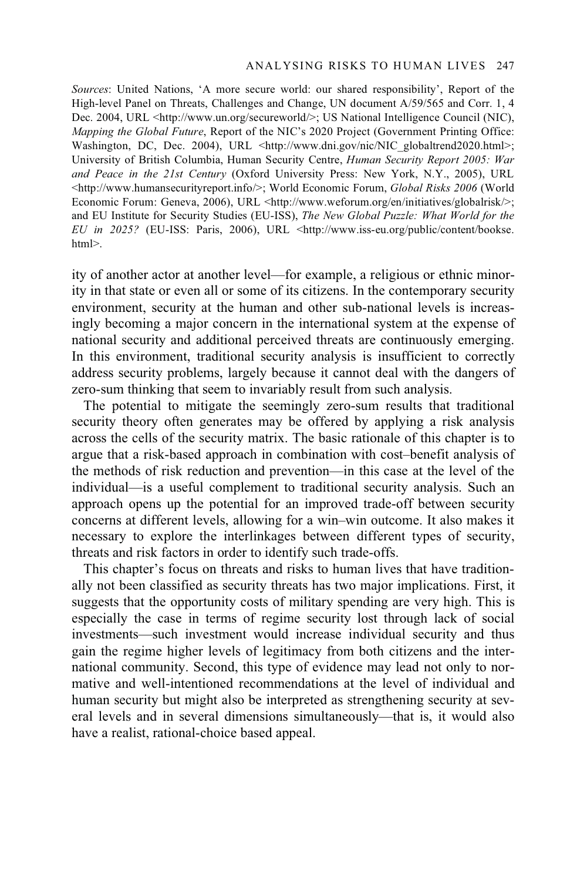*Sources*: United Nations, 'A more secure world: our shared responsibility', Report of the High-level Panel on Threats, Challenges and Change, UN document A/59/565 and Corr. 1, 4 Dec. 2004, URL <http://www.un.org/secureworld/>; US National Intelligence Council (NIC), *Mapping the Global Future*, Report of the NIC's 2020 Project (Government Printing Office: Washington, DC, Dec. 2004), URL <http://www.dni.gov/nic/NIC\_globaltrend2020.html>; University of British Columbia, Human Security Centre, *Human Security Report 2005: War and Peace in the 21st Century* (Oxford University Press: New York, N.Y., 2005), URL <http://www.humansecurityreport.info/>; World Economic Forum, *Global Risks 2006* (World Economic Forum: Geneva, 2006), URL <http://www.weforum.org/en/initiatives/globalrisk/>; and EU Institute for Security Studies (EU-ISS), *The New Global Puzzle: What World for the EU in 2025?* (EU-ISS: Paris, 2006), URL <http://www.iss-eu.org/public/content/bookse. html>.

ity of another actor at another level—for example, a religious or ethnic minority in that state or even all or some of its citizens. In the contemporary security environment, security at the human and other sub-national levels is increasingly becoming a major concern in the international system at the expense of national security and additional perceived threats are continuously emerging. In this environment, traditional security analysis is insufficient to correctly address security problems, largely because it cannot deal with the dangers of zero-sum thinking that seem to invariably result from such analysis.

The potential to mitigate the seemingly zero-sum results that traditional security theory often generates may be offered by applying a risk analysis across the cells of the security matrix. The basic rationale of this chapter is to argue that a risk-based approach in combination with cost–benefit analysis of the methods of risk reduction and prevention—in this case at the level of the individual—is a useful complement to traditional security analysis. Such an approach opens up the potential for an improved trade-off between security concerns at different levels, allowing for a win–win outcome. It also makes it necessary to explore the interlinkages between different types of security, threats and risk factors in order to identify such trade-offs.

This chapter's focus on threats and risks to human lives that have traditionally not been classified as security threats has two major implications. First, it suggests that the opportunity costs of military spending are very high. This is especially the case in terms of regime security lost through lack of social investments—such investment would increase individual security and thus gain the regime higher levels of legitimacy from both citizens and the international community. Second, this type of evidence may lead not only to normative and well-intentioned recommendations at the level of individual and human security but might also be interpreted as strengthening security at several levels and in several dimensions simultaneously—that is, it would also have a realist, rational-choice based appeal.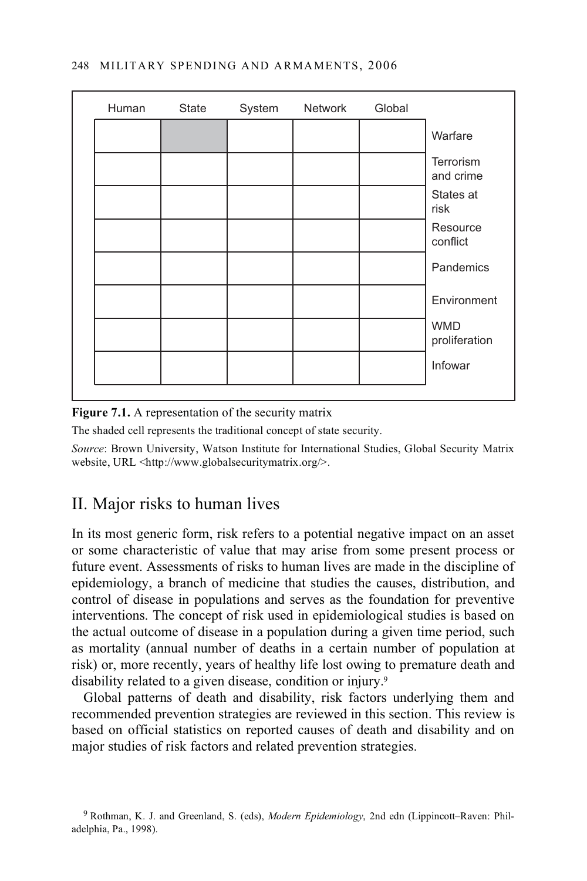|  |  | Global |                             |
|--|--|--------|-----------------------------|
|  |  |        | Warfare                     |
|  |  |        | Terrorism<br>and crime      |
|  |  |        | States at<br>risk           |
|  |  |        | Resource<br>conflict        |
|  |  |        | Pandemics                   |
|  |  |        | Environment                 |
|  |  |        | <b>WMD</b><br>proliferation |
|  |  |        | Infowar                     |
|  |  |        |                             |

## **Figure 7.1.** A representation of the security matrix

The shaded cell represents the traditional concept of state security.

*Source*: Brown University, Watson Institute for International Studies, Global Security Matrix website, URL <http://www.globalsecuritymatrix.org/>.

# II. Major risks to human lives

In its most generic form, risk refers to a potential negative impact on an asset or some characteristic of value that may arise from some present process or future event. Assessments of risks to human lives are made in the discipline of epidemiology, a branch of medicine that studies the causes, distribution, and control of disease in populations and serves as the foundation for preventive interventions. The concept of risk used in epidemiological studies is based on the actual outcome of disease in a population during a given time period, such as mortality (annual number of deaths in a certain number of population at risk) or, more recently, years of healthy life lost owing to premature death and disability related to a given disease, condition or injury.<sup>9</sup>

Global patterns of death and disability, risk factors underlying them and recommended prevention strategies are reviewed in this section. This review is based on official statistics on reported causes of death and disability and on major studies of risk factors and related prevention strategies.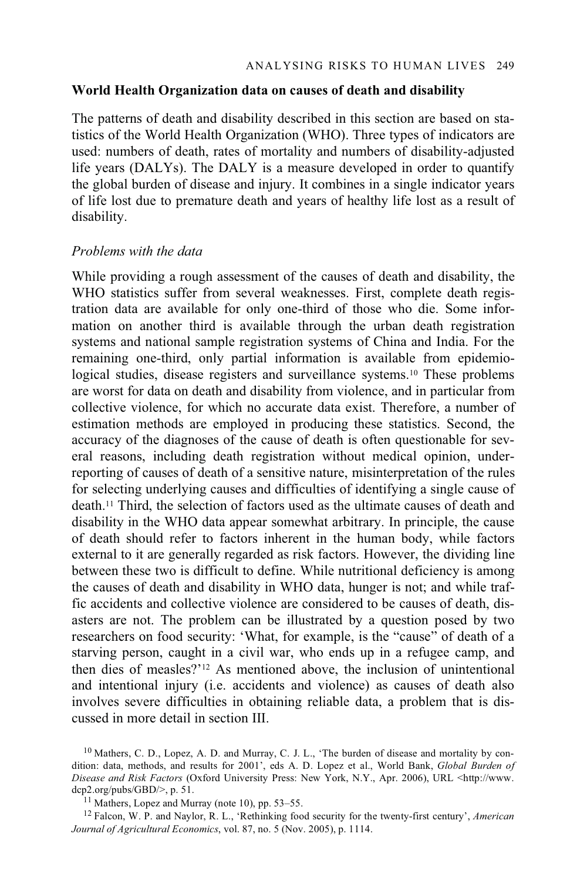## **World Health Organization data on causes of death and disability**

The patterns of death and disability described in this section are based on statistics of the World Health Organization (WHO). Three types of indicators are used: numbers of death, rates of mortality and numbers of disability-adjusted life years (DALYs). The DALY is a measure developed in order to quantify the global burden of disease and injury. It combines in a single indicator years of life lost due to premature death and years of healthy life lost as a result of disability.

### *Problems with the data*

While providing a rough assessment of the causes of death and disability, the WHO statistics suffer from several weaknesses. First, complete death registration data are available for only one-third of those who die. Some information on another third is available through the urban death registration systems and national sample registration systems of China and India. For the remaining one-third, only partial information is available from epidemiological studies, disease registers and surveillance systems.<sup>10</sup> These problems are worst for data on death and disability from violence, and in particular from collective violence, for which no accurate data exist. Therefore, a number of estimation methods are employed in producing these statistics. Second, the accuracy of the diagnoses of the cause of death is often questionable for several reasons, including death registration without medical opinion, underreporting of causes of death of a sensitive nature, misinterpretation of the rules for selecting underlying causes and difficulties of identifying a single cause of death.11 Third, the selection of factors used as the ultimate causes of death and disability in the WHO data appear somewhat arbitrary. In principle, the cause of death should refer to factors inherent in the human body, while factors external to it are generally regarded as risk factors. However, the dividing line between these two is difficult to define. While nutritional deficiency is among the causes of death and disability in WHO data, hunger is not; and while traffic accidents and collective violence are considered to be causes of death, disasters are not. The problem can be illustrated by a question posed by two researchers on food security: 'What, for example, is the "cause" of death of a starving person, caught in a civil war, who ends up in a refugee camp, and then dies of measles?'12 As mentioned above, the inclusion of unintentional and intentional injury (i.e. accidents and violence) as causes of death also involves severe difficulties in obtaining reliable data, a problem that is discussed in more detail in section III.

 $10$  Mathers, C. D., Lopez, A. D. and Murray, C. J. L., 'The burden of disease and mortality by condition: data, methods, and results for 2001', eds A. D. Lopez et al., World Bank, *Global Burden of Disease and Risk Factors* (Oxford University Press: New York, N.Y., Apr. 2006), URL <http://www. dcp2.org/pubs/GBD/ $>$ , p. 51.<br><sup>11</sup> Mathers, Lopez and Murray (note 10), pp. 53–55.

<sup>12</sup> Falcon, W. P. and Naylor, R. L., 'Rethinking food security for the twenty-first century', *American Journal of Agricultural Economics*, vol. 87, no. 5 (Nov. 2005), p. 1114.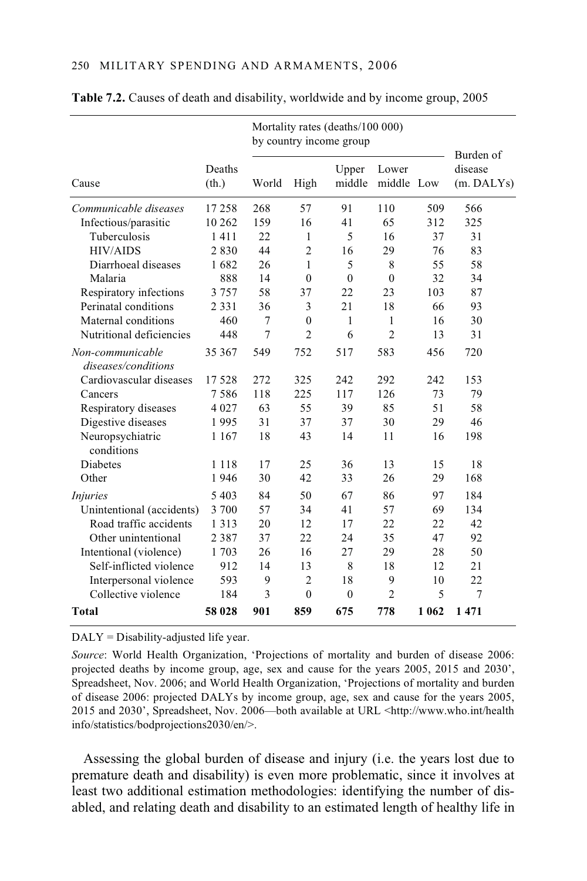|                                         |                 | Mortality rates (deaths/100 000)<br>by country income group |                |                 |                     |         |                                    |
|-----------------------------------------|-----------------|-------------------------------------------------------------|----------------|-----------------|---------------------|---------|------------------------------------|
| Cause                                   | Deaths<br>(th.) | World                                                       | High           | Upper<br>middle | Lower<br>middle Low |         | Burden of<br>disease<br>(m. DALYs) |
| Communicable diseases                   | 17258           | 268                                                         | 57             | 91              | 110                 | 509     | 566                                |
| Infectious/parasitic                    | 10 26 2         | 159                                                         | 16             | 41              | 65                  | 312     | 325                                |
| Tuberculosis                            | 1411            | 22                                                          | 1              | 5               | 16                  | 37      | 31                                 |
| <b>HIV/AIDS</b>                         | 2830            | 44                                                          | $\overline{2}$ | 16              | 29                  | 76      | 83                                 |
| Diarrhoeal diseases                     | 1682            | 26                                                          | 1              | 5               | 8                   | 55      | 58                                 |
| Malaria                                 | 888             | 14                                                          | $\theta$       | $\theta$        | $\theta$            | 32      | 34                                 |
| Respiratory infections                  | 3757            | 58                                                          | 37             | 22              | 23                  | 103     | 87                                 |
| Perinatal conditions                    | 2 3 3 1         | 36                                                          | 3              | 21              | 18                  | 66      | 93                                 |
| Maternal conditions                     | 460             | $\tau$                                                      | $\mathbf{0}$   | 1               | 1                   | 16      | 30                                 |
| Nutritional deficiencies                | 448             | $\overline{7}$                                              | $\overline{2}$ | 6               | $\overline{2}$      | 13      | 31                                 |
| Non-communicable<br>diseases/conditions | 35 367          | 549                                                         | 752            | 517             | 583                 | 456     | 720                                |
| Cardiovascular diseases                 | 17528           | 272                                                         | 325            | 242             | 292                 | 242     | 153                                |
| Cancers                                 | 7586            | 118                                                         | 225            | 117             | 126                 | 73      | 79                                 |
| Respiratory diseases                    | 4 0 2 7         | 63                                                          | 55             | 39              | 85                  | 51      | 58                                 |
| Digestive diseases                      | 1995            | 31                                                          | 37             | 37              | 30                  | 29      | 46                                 |
| Neuropsychiatric<br>conditions          | 1 1 6 7         | 18                                                          | 43             | 14              | 11                  | 16      | 198                                |
| <b>Diabetes</b>                         | 1 1 1 8         | 17                                                          | 25             | 36              | 13                  | 15      | 18                                 |
| Other                                   | 1946            | 30                                                          | 42             | 33              | 26                  | 29      | 168                                |
| <i>Injuries</i>                         | 5 4 0 3         | 84                                                          | 50             | 67              | 86                  | 97      | 184                                |
| Unintentional (accidents)               | 3 700           | 57                                                          | 34             | 41              | 57                  | 69      | 134                                |
| Road traffic accidents                  | 1 3 1 3         | 20                                                          | 12             | 17              | 22                  | 22      | 42                                 |
| Other unintentional                     | 2387            | 37                                                          | 22             | 24              | 35                  | 47      | 92                                 |
| Intentional (violence)                  | 1703            | 26                                                          | 16             | 27              | 29                  | 28      | 50                                 |
| Self-inflicted violence                 | 912             | 14                                                          | 13             | 8               | 18                  | 12      | 21                                 |
| Interpersonal violence                  | 593             | 9                                                           | $\overline{2}$ | 18              | 9                   | 10      | 22                                 |
| Collective violence                     | 184             | 3                                                           | $\theta$       | $\theta$        | $\overline{c}$      | 5       | $\tau$                             |
| <b>Total</b>                            | 58 028          | 901                                                         | 859            | 675             | 778                 | 1 0 6 2 | 1471                               |

#### **Table 7.2.** Causes of death and disability, worldwide and by income group, 2005

DALY = Disability-adjusted life year.

*Source*: World Health Organization, 'Projections of mortality and burden of disease 2006: projected deaths by income group, age, sex and cause for the years 2005, 2015 and 2030', Spreadsheet, Nov. 2006; and World Health Organization, 'Projections of mortality and burden of disease 2006: projected DALYs by income group, age, sex and cause for the years 2005, 2015 and 2030', Spreadsheet, Nov. 2006—both available at URL <http://www.who.int/health info/statistics/bodprojections2030/en/>.

Assessing the global burden of disease and injury (i.e. the years lost due to premature death and disability) is even more problematic, since it involves at least two additional estimation methodologies: identifying the number of disabled, and relating death and disability to an estimated length of healthy life in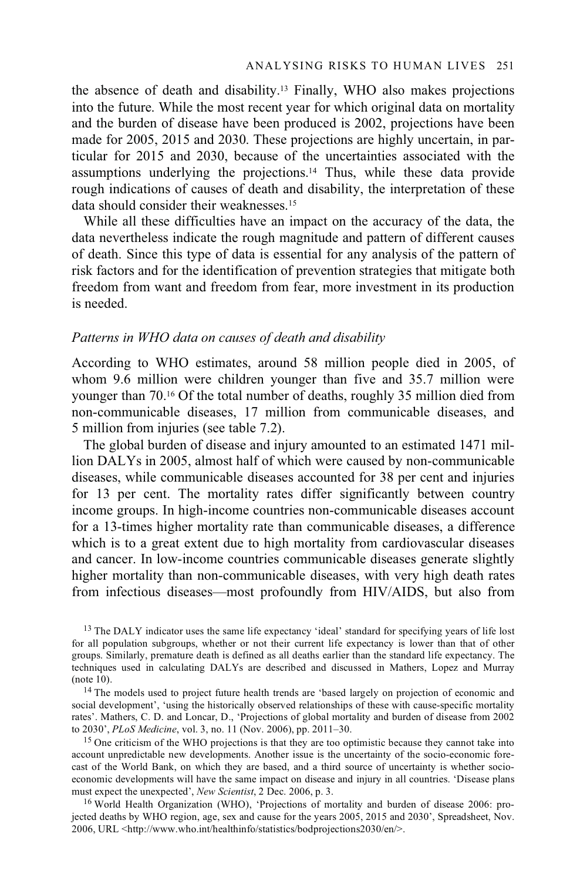the absence of death and disability.13 Finally, WHO also makes projections into the future. While the most recent year for which original data on mortality and the burden of disease have been produced is 2002, projections have been made for 2005, 2015 and 2030. These projections are highly uncertain, in particular for 2015 and 2030, because of the uncertainties associated with the assumptions underlying the projections.14 Thus, while these data provide rough indications of causes of death and disability, the interpretation of these data should consider their weaknesses.15

While all these difficulties have an impact on the accuracy of the data, the data nevertheless indicate the rough magnitude and pattern of different causes of death. Since this type of data is essential for any analysis of the pattern of risk factors and for the identification of prevention strategies that mitigate both freedom from want and freedom from fear, more investment in its production is needed.

#### *Patterns in WHO data on causes of death and disability*

According to WHO estimates, around 58 million people died in 2005, of whom 9.6 million were children younger than five and 35.7 million were younger than 70.16 Of the total number of deaths, roughly 35 million died from non-communicable diseases, 17 million from communicable diseases, and 5 million from injuries (see table 7.2).

The global burden of disease and injury amounted to an estimated 1471 million DALYs in 2005, almost half of which were caused by non-communicable diseases, while communicable diseases accounted for 38 per cent and injuries for 13 per cent. The mortality rates differ significantly between country income groups. In high-income countries non-communicable diseases account for a 13-times higher mortality rate than communicable diseases, a difference which is to a great extent due to high mortality from cardiovascular diseases and cancer. In low-income countries communicable diseases generate slightly higher mortality than non-communicable diseases, with very high death rates from infectious diseases—most profoundly from HIV/AIDS, but also from

<sup>13</sup> The DALY indicator uses the same life expectancy 'ideal' standard for specifying years of life lost for all population subgroups, whether or not their current life expectancy is lower than that of other groups. Similarly, premature death is defined as all deaths earlier than the standard life expectancy. The techniques used in calculating DALYs are described and discussed in Mathers, Lopez and Murray (note 10). 14 The models used to project future health trends are 'based largely on projection of economic and

social development', 'using the historically observed relationships of these with cause-specific mortality rates'. Mathers, C. D. and Loncar, D., 'Projections of global mortality and burden of disease from 2002 to 2030', *PLoS Medicine*, vol. 3, no. 11 (Nov. 2006), pp. 2011–30.

<sup>15</sup> One criticism of the WHO projections is that they are too optimistic because they cannot take into account unpredictable new developments. Another issue is the uncertainty of the socio-economic forecast of the World Bank, on which they are based, and a third source of uncertainty is whether socioeconomic developments will have the same impact on disease and injury in all countries. 'Disease plans must expect the unexpected', New Scientist, 2 Dec. 2006, p. 3.

<sup>16</sup> World Health Organization (WHO), 'Projections of mortality and burden of disease 2006: projected deaths by WHO region, age, sex and cause for the years 2005, 2015 and 2030', Spreadsheet, Nov. 2006, URL <http://www.who.int/healthinfo/statistics/bodprojections2030/en/>.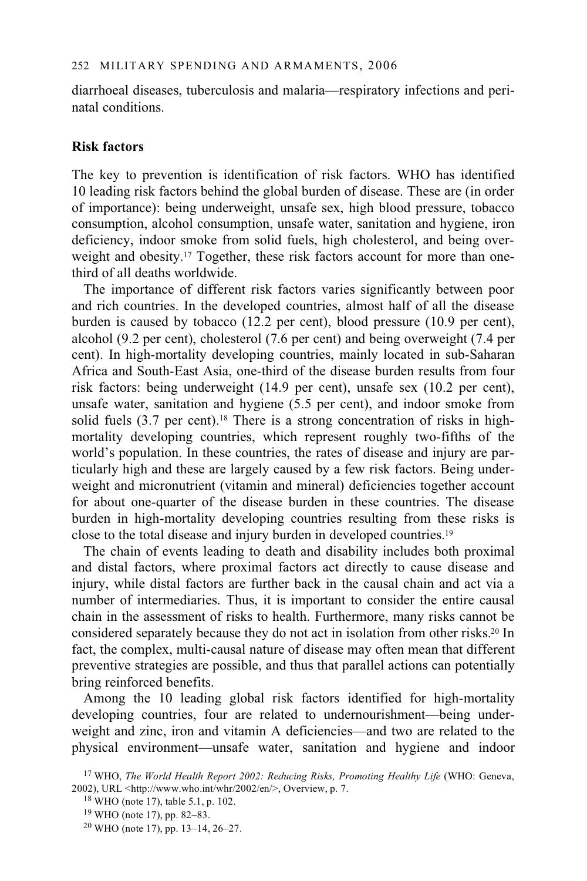diarrhoeal diseases, tuberculosis and malaria—respiratory infections and perinatal conditions.

# **Risk factors**

The key to prevention is identification of risk factors. WHO has identified 10 leading risk factors behind the global burden of disease. These are (in order of importance): being underweight, unsafe sex, high blood pressure, tobacco consumption, alcohol consumption, unsafe water, sanitation and hygiene, iron deficiency, indoor smoke from solid fuels, high cholesterol, and being overweight and obesity.<sup>17</sup> Together, these risk factors account for more than onethird of all deaths worldwide.

The importance of different risk factors varies significantly between poor and rich countries. In the developed countries, almost half of all the disease burden is caused by tobacco (12.2 per cent), blood pressure (10.9 per cent), alcohol (9.2 per cent), cholesterol (7.6 per cent) and being overweight (7.4 per cent). In high-mortality developing countries, mainly located in sub-Saharan Africa and South-East Asia, one-third of the disease burden results from four risk factors: being underweight (14.9 per cent), unsafe sex (10.2 per cent), unsafe water, sanitation and hygiene (5.5 per cent), and indoor smoke from solid fuels  $(3.7 \text{ per cent})$ .<sup>18</sup> There is a strong concentration of risks in highmortality developing countries, which represent roughly two-fifths of the world's population. In these countries, the rates of disease and injury are particularly high and these are largely caused by a few risk factors. Being underweight and micronutrient (vitamin and mineral) deficiencies together account for about one-quarter of the disease burden in these countries. The disease burden in high-mortality developing countries resulting from these risks is close to the total disease and injury burden in developed countries.19

The chain of events leading to death and disability includes both proximal and distal factors, where proximal factors act directly to cause disease and injury, while distal factors are further back in the causal chain and act via a number of intermediaries. Thus, it is important to consider the entire causal chain in the assessment of risks to health. Furthermore, many risks cannot be considered separately because they do not act in isolation from other risks.20 In fact, the complex, multi-causal nature of disease may often mean that different preventive strategies are possible, and thus that parallel actions can potentially bring reinforced benefits.

Among the 10 leading global risk factors identified for high-mortality developing countries, four are related to undernourishment—being underweight and zinc, iron and vitamin A deficiencies—and two are related to the physical environment—unsafe water, sanitation and hygiene and indoor

<sup>&</sup>lt;sup>17</sup> WHO, *The World Health Report 2002: Reducing Risks, Promoting Healthy Life* (WHO: Geneva, 2002), URL <http://www.who.int/whr/2002/en/>, Overview, p. 7. <sup>18</sup> WHO (note 17), table 5.1, p. 102.

<sup>19</sup> WHO (note 17), pp. 82–83.

<sup>20</sup> WHO (note 17), pp. 13–14, 26–27.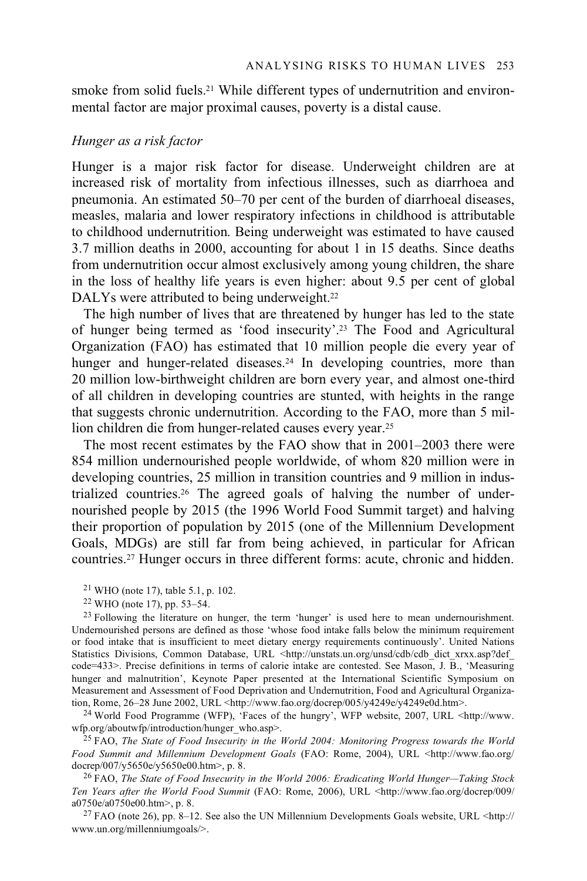smoke from solid fuels.<sup>21</sup> While different types of undernutrition and environmental factor are major proximal causes, poverty is a distal cause.

#### *Hunger as a risk factor*

Hunger is a major risk factor for disease. Underweight children are at increased risk of mortality from infectious illnesses, such as diarrhoea and pneumonia. An estimated 50–70 per cent of the burden of diarrhoeal diseases, measles, malaria and lower respiratory infections in childhood is attributable to childhood undernutrition. Being underweight was estimated to have caused 3.7 million deaths in 2000, accounting for about 1 in 15 deaths. Since deaths from undernutrition occur almost exclusively among young children, the share in the loss of healthy life years is even higher: about 9.5 per cent of global DALYs were attributed to being underweight.<sup>22</sup>

The high number of lives that are threatened by hunger has led to the state of hunger being termed as 'food insecurity'.23 The Food and Agricultural Organization (FAO) has estimated that 10 million people die every year of hunger and hunger-related diseases.<sup>24</sup> In developing countries, more than 20 million low-birthweight children are born every year, and almost one-third of all children in developing countries are stunted, with heights in the range that suggests chronic undernutrition. According to the FAO, more than 5 million children die from hunger-related causes every year.25

The most recent estimates by the FAO show that in 2001–2003 there were 854 million undernourished people worldwide, of whom 820 million were in developing countries, 25 million in transition countries and 9 million in industrialized countries.26 The agreed goals of halving the number of undernourished people by 2015 (the 1996 World Food Summit target) and halving their proportion of population by 2015 (one of the Millennium Development Goals, MDGs) are still far from being achieved, in particular for African countries.27 Hunger occurs in three different forms: acute, chronic and hidden.

21 WHO (note 17), table 5.1, p. 102.

<sup>24</sup> World Food Programme (WFP), 'Faces of the hungry', WFP website, 2007, URL <http://www.<br>wfp.org/aboutwfp/introduction/hunger\_who.asp>.

<sup>25</sup> FAO, The State of Food Insecurity in the World 2004: Monitoring Progress towards the World *Food Summit and Millennium Development Goals* (FAO: Rome, 2004), URL <http://www.fao.org/ docrep/007/y5650e/y5650e00.htm>, p. 8.<br><sup>26</sup> FAO, *The State of Food Insecurity in the World 2006: Eradicating World Hunger—Taking Stock* 

*Ten Years after the World Food Summit* (FAO: Rome, 2006), URL <http://www.fao.org/docrep/009/ a0750e/a0750e00.htm>, p. 8.

 $^{27}$  FAO (note 26), pp. 8–12. See also the UN Millennium Developments Goals website, URL <http:// www.un.org/millenniumgoals/>.

<sup>22</sup> WHO (note 17), pp. 53–54.

<sup>&</sup>lt;sup>23</sup> Following the literature on hunger, the term 'hunger' is used here to mean undernourishment. Undernourished persons are defined as those 'whose food intake falls below the minimum requirement or food intake that is insufficient to meet dietary energy requirements continuously'. United Nations Statistics Divisions, Common Database, URL <http://unstats.un.org/unsd/cdb/cdb\_dict\_xrxx.asp?def code=433>. Precise definitions in terms of calorie intake are contested. See Mason, J. B., 'Measuring hunger and malnutrition', Keynote Paper presented at the International Scientific Symposium on Measurement and Assessment of Food Deprivation and Undernutrition, Food and Agricultural Organization, Rome, 26–28 June 2002, URL <http://www.fao.org/docrep/005/y4249e/y4249e0d.htm>.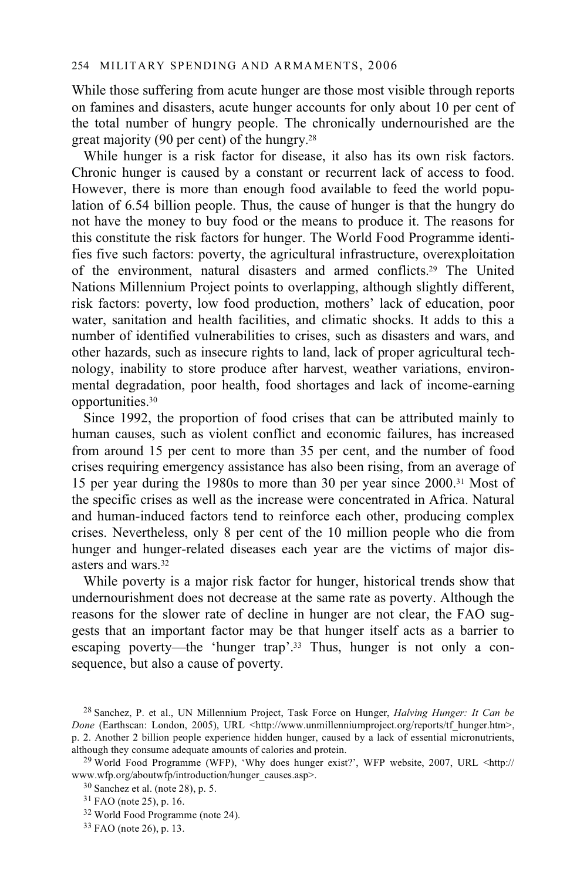While those suffering from acute hunger are those most visible through reports on famines and disasters, acute hunger accounts for only about 10 per cent of the total number of hungry people. The chronically undernourished are the great majority (90 per cent) of the hungry.28

While hunger is a risk factor for disease, it also has its own risk factors. Chronic hunger is caused by a constant or recurrent lack of access to food. However, there is more than enough food available to feed the world population of 6.54 billion people. Thus, the cause of hunger is that the hungry do not have the money to buy food or the means to produce it. The reasons for this constitute the risk factors for hunger. The World Food Programme identifies five such factors: poverty, the agricultural infrastructure, overexploitation of the environment, natural disasters and armed conflicts.29 The United Nations Millennium Project points to overlapping, although slightly different, risk factors: poverty, low food production, mothers' lack of education, poor water, sanitation and health facilities, and climatic shocks. It adds to this a number of identified vulnerabilities to crises, such as disasters and wars, and other hazards, such as insecure rights to land, lack of proper agricultural technology, inability to store produce after harvest, weather variations, environmental degradation, poor health, food shortages and lack of income-earning opportunities.30

Since 1992, the proportion of food crises that can be attributed mainly to human causes, such as violent conflict and economic failures, has increased from around 15 per cent to more than 35 per cent, and the number of food crises requiring emergency assistance has also been rising, from an average of 15 per year during the 1980s to more than 30 per year since 2000.31 Most of the specific crises as well as the increase were concentrated in Africa. Natural and human-induced factors tend to reinforce each other, producing complex crises. Nevertheless, only 8 per cent of the 10 million people who die from hunger and hunger-related diseases each year are the victims of major disasters and wars.32

While poverty is a major risk factor for hunger, historical trends show that undernourishment does not decrease at the same rate as poverty. Although the reasons for the slower rate of decline in hunger are not clear, the FAO suggests that an important factor may be that hunger itself acts as a barrier to escaping poverty—the 'hunger trap'.<sup>33</sup> Thus, hunger is not only a consequence, but also a cause of poverty.

<sup>28</sup> Sanchez, P. et al., UN Millennium Project, Task Force on Hunger, *Halving Hunger: It Can be Done* (Earthscan: London, 2005), URL <http://www.unmillenniumproject.org/reports/tf\_hunger.htm>, p. 2. Another 2 billion people experience hidden hunger, caused by a lack of essential micronutrients, although they consume adequate amounts of calories and protein. 29 World Food Programme (WFP), 'Why does hunger exist?', WFP website, 2007, URL <http://

www.wfp.org/aboutwfp/introduction/hunger\_causes.asp>. 30 Sanchez et al. (note 28), p. 5.

 $31$  FAO (note 25), p. 16.

<sup>32</sup> World Food Programme (note 24).

<sup>33</sup> FAO (note 26), p. 13.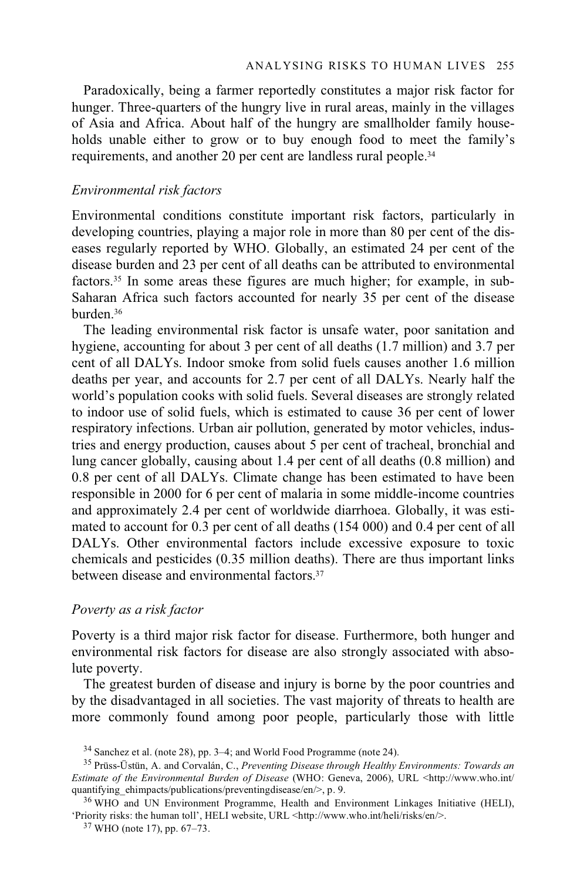Paradoxically, being a farmer reportedly constitutes a major risk factor for hunger. Three-quarters of the hungry live in rural areas, mainly in the villages of Asia and Africa. About half of the hungry are smallholder family households unable either to grow or to buy enough food to meet the family's requirements, and another 20 per cent are landless rural people.34

## *Environmental risk factors*

Environmental conditions constitute important risk factors, particularly in developing countries, playing a major role in more than 80 per cent of the diseases regularly reported by WHO. Globally, an estimated 24 per cent of the disease burden and 23 per cent of all deaths can be attributed to environmental factors.35 In some areas these figures are much higher; for example, in sub-Saharan Africa such factors accounted for nearly 35 per cent of the disease burden.36

The leading environmental risk factor is unsafe water, poor sanitation and hygiene, accounting for about 3 per cent of all deaths (1.7 million) and 3.7 per cent of all DALYs. Indoor smoke from solid fuels causes another 1.6 million deaths per year, and accounts for 2.7 per cent of all DALYs. Nearly half the world's population cooks with solid fuels. Several diseases are strongly related to indoor use of solid fuels, which is estimated to cause 36 per cent of lower respiratory infections. Urban air pollution, generated by motor vehicles, industries and energy production, causes about 5 per cent of tracheal, bronchial and lung cancer globally, causing about 1.4 per cent of all deaths (0.8 million) and 0.8 per cent of all DALYs. Climate change has been estimated to have been responsible in 2000 for 6 per cent of malaria in some middle-income countries and approximately 2.4 per cent of worldwide diarrhoea. Globally, it was estimated to account for 0.3 per cent of all deaths (154 000) and 0.4 per cent of all DALYs. Other environmental factors include excessive exposure to toxic chemicals and pesticides (0.35 million deaths). There are thus important links between disease and environmental factors.37

# *Poverty as a risk factor*

Poverty is a third major risk factor for disease. Furthermore, both hunger and environmental risk factors for disease are also strongly associated with absolute poverty.

The greatest burden of disease and injury is borne by the poor countries and by the disadvantaged in all societies. The vast majority of threats to health are more commonly found among poor people, particularly those with little

'Priority risks: the human toll', HELI website, URL <http://www.who.int/heli/risks/en/>. 37 WHO (note 17), pp. 67–73.

<sup>&</sup>lt;sup>34</sup> Sanchez et al. (note 28), pp. 3–4; and World Food Programme (note 24).

<sup>35</sup> Prüss-Üstün, A. and Corvalán, C., *Preventing Disease through Healthy Environments: Towards an Estimate of the Environmental Burden of Disease* (WHO: Geneva, 2006), URL <http://www.who.int/ quantifying\_ehimpacts/publications/preventingdisease/en/>, p. 9.<br><sup>36</sup> WHO and UN Environment Programme, Health and Environment Linkages Initiative (HELI),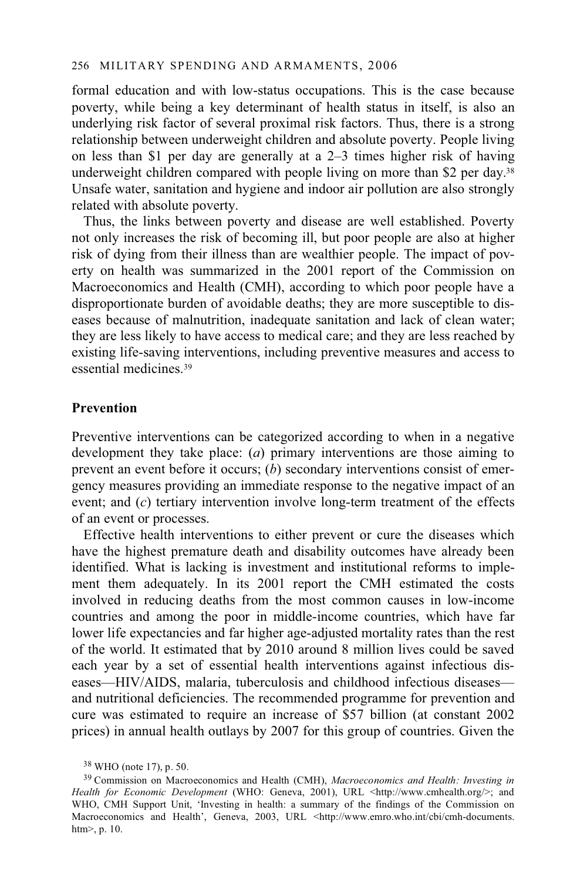formal education and with low-status occupations. This is the case because poverty, while being a key determinant of health status in itself, is also an underlying risk factor of several proximal risk factors. Thus, there is a strong relationship between underweight children and absolute poverty. People living on less than \$1 per day are generally at a 2–3 times higher risk of having underweight children compared with people living on more than \$2 per day.<sup>38</sup> Unsafe water, sanitation and hygiene and indoor air pollution are also strongly related with absolute poverty.

Thus, the links between poverty and disease are well established. Poverty not only increases the risk of becoming ill, but poor people are also at higher risk of dying from their illness than are wealthier people. The impact of poverty on health was summarized in the 2001 report of the Commission on Macroeconomics and Health (CMH), according to which poor people have a disproportionate burden of avoidable deaths; they are more susceptible to diseases because of malnutrition, inadequate sanitation and lack of clean water; they are less likely to have access to medical care; and they are less reached by existing life-saving interventions, including preventive measures and access to essential medicines<sup>39</sup>

# **Prevention**

Preventive interventions can be categorized according to when in a negative development they take place: (*a*) primary interventions are those aiming to prevent an event before it occurs; (*b*) secondary interventions consist of emergency measures providing an immediate response to the negative impact of an event; and (*c*) tertiary intervention involve long-term treatment of the effects of an event or processes.

Effective health interventions to either prevent or cure the diseases which have the highest premature death and disability outcomes have already been identified. What is lacking is investment and institutional reforms to implement them adequately. In its 2001 report the CMH estimated the costs involved in reducing deaths from the most common causes in low-income countries and among the poor in middle-income countries, which have far lower life expectancies and far higher age-adjusted mortality rates than the rest of the world. It estimated that by 2010 around 8 million lives could be saved each year by a set of essential health interventions against infectious diseases—HIV/AIDS, malaria, tuberculosis and childhood infectious diseases and nutritional deficiencies. The recommended programme for prevention and cure was estimated to require an increase of \$57 billion (at constant 2002 prices) in annual health outlays by 2007 for this group of countries. Given the

<sup>38</sup> WHO (note 17), p. 50.

<sup>39</sup> Commission on Macroeconomics and Health (CMH), *Macroeconomics and Health: Investing in Health for Economic Development* (WHO: Geneva, 2001), URL <http://www.cmhealth.org/>; and WHO, CMH Support Unit, 'Investing in health: a summary of the findings of the Commission on Macroeconomics and Health', Geneva, 2003, URL <http://www.emro.who.int/cbi/cmh-documents. htm>, p. 10.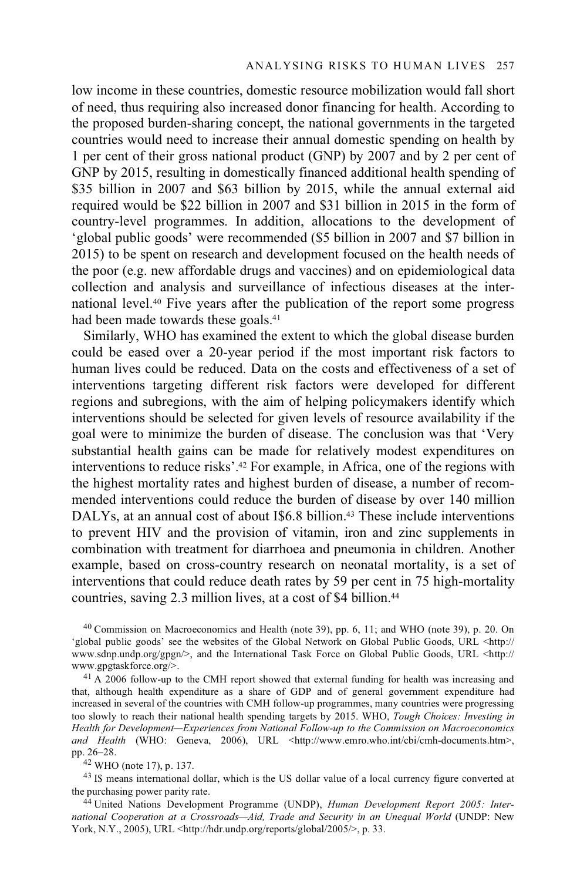low income in these countries, domestic resource mobilization would fall short of need, thus requiring also increased donor financing for health. According to the proposed burden-sharing concept, the national governments in the targeted countries would need to increase their annual domestic spending on health by 1 per cent of their gross national product (GNP) by 2007 and by 2 per cent of GNP by 2015, resulting in domestically financed additional health spending of \$35 billion in 2007 and \$63 billion by 2015, while the annual external aid required would be \$22 billion in 2007 and \$31 billion in 2015 in the form of country-level programmes. In addition, allocations to the development of 'global public goods' were recommended (\$5 billion in 2007 and \$7 billion in 2015) to be spent on research and development focused on the health needs of the poor (e.g. new affordable drugs and vaccines) and on epidemiological data collection and analysis and surveillance of infectious diseases at the international level.40 Five years after the publication of the report some progress had been made towards these goals.<sup>41</sup>

Similarly, WHO has examined the extent to which the global disease burden could be eased over a 20-year period if the most important risk factors to human lives could be reduced. Data on the costs and effectiveness of a set of interventions targeting different risk factors were developed for different regions and subregions, with the aim of helping policymakers identify which interventions should be selected for given levels of resource availability if the goal were to minimize the burden of disease. The conclusion was that 'Very substantial health gains can be made for relatively modest expenditures on interventions to reduce risks'.42 For example, in Africa, one of the regions with the highest mortality rates and highest burden of disease, a number of recommended interventions could reduce the burden of disease by over 140 million DALYs, at an annual cost of about I\$6.8 billion.<sup>43</sup> These include interventions to prevent HIV and the provision of vitamin, iron and zinc supplements in combination with treatment for diarrhoea and pneumonia in children. Another example, based on cross-country research on neonatal mortality, is a set of interventions that could reduce death rates by 59 per cent in 75 high-mortality countries, saving 2.3 million lives, at a cost of \$4 billion.<sup>44</sup>

40 Commission on Macroeconomics and Health (note 39), pp. 6, 11; and WHO (note 39), p. 20. On 'global public goods' see the websites of the Global Network on Global Public Goods, URL <http:// www.sdnp.undp.org/gpgn/>, and the International Task Force on Global Public Goods, URL <http:// www.gpgtaskforce.org/>.<br> $41 \text{ A } 2006 \text{ follow-up to the CMH report showed that external funding for health was increasing and}$ 

that, although health expenditure as a share of GDP and of general government expenditure had increased in several of the countries with CMH follow-up programmes, many countries were progressing too slowly to reach their national health spending targets by 2015. WHO, *Tough Choices: Investing in Health for Development—Experiences from National Follow-up to the Commission on Macroeconomics*  and Health (WHO: Geneva, 2006), URL <http://www.emro.who.int/cbi/cmh-documents.htm>, pp. 26–28. 42 WHO (note 17), p. 137.

 $43$  I\$ means international dollar, which is the US dollar value of a local currency figure converted at the purchasing power parity rate.

<sup>44</sup> United Nations Development Programme (UNDP), *Human Development Report 2005: International Cooperation at a Crossroads—Aid, Trade and Security in an Unequal World* (UNDP: New York, N.Y., 2005), URL <http://hdr.undp.org/reports/global/2005/>, p. 33.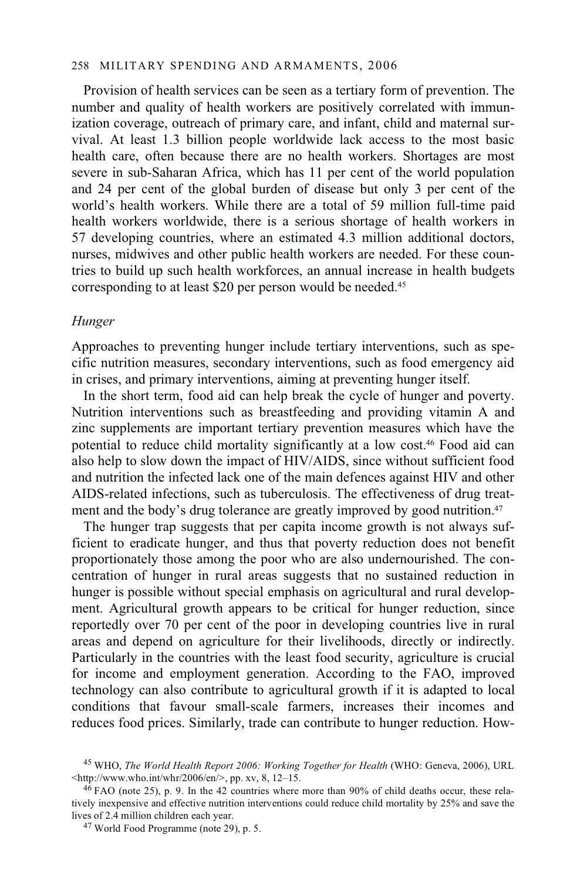## 258 MILITARY SPENDING AND ARMAMENTS, 2006

Provision of health services can be seen as a tertiary form of prevention. The number and quality of health workers are positively correlated with immunization coverage, outreach of primary care, and infant, child and maternal survival. At least 1.3 billion people worldwide lack access to the most basic health care, often because there are no health workers. Shortages are most severe in sub-Saharan Africa, which has 11 per cent of the world population and 24 per cent of the global burden of disease but only 3 per cent of the world's health workers. While there are a total of 59 million full-time paid health workers worldwide, there is a serious shortage of health workers in 57 developing countries, where an estimated 4.3 million additional doctors, nurses, midwives and other public health workers are needed. For these countries to build up such health workforces, an annual increase in health budgets corresponding to at least \$20 per person would be needed.45

#### *Hunger*

Approaches to preventing hunger include tertiary interventions, such as specific nutrition measures, secondary interventions, such as food emergency aid in crises, and primary interventions, aiming at preventing hunger itself.

In the short term, food aid can help break the cycle of hunger and poverty. Nutrition interventions such as breastfeeding and providing vitamin A and zinc supplements are important tertiary prevention measures which have the potential to reduce child mortality significantly at a low cost.46 Food aid can also help to slow down the impact of HIV/AIDS, since without sufficient food and nutrition the infected lack one of the main defences against HIV and other AIDS-related infections, such as tuberculosis. The effectiveness of drug treatment and the body's drug tolerance are greatly improved by good nutrition.<sup>47</sup>

The hunger trap suggests that per capita income growth is not always sufficient to eradicate hunger, and thus that poverty reduction does not benefit proportionately those among the poor who are also undernourished. The concentration of hunger in rural areas suggests that no sustained reduction in hunger is possible without special emphasis on agricultural and rural development. Agricultural growth appears to be critical for hunger reduction, since reportedly over 70 per cent of the poor in developing countries live in rural areas and depend on agriculture for their livelihoods, directly or indirectly. Particularly in the countries with the least food security, agriculture is crucial for income and employment generation. According to the FAO, improved technology can also contribute to agricultural growth if it is adapted to local conditions that favour small-scale farmers, increases their incomes and reduces food prices. Similarly, trade can contribute to hunger reduction. How-

<sup>45</sup> WHO, *The World Health Report 2006: Working Together for Health* (WHO: Geneva, 2006), URL  $\frac{\text{th}}{46}$  FAO (note 25), p. 9. In the 42 countries where more than 90% of child deaths occur, these rela-

tively inexpensive and effective nutrition interventions could reduce child mortality by 25% and save the lives of 2.4 million children each year. 47 World Food Programme (note 29), p. 5.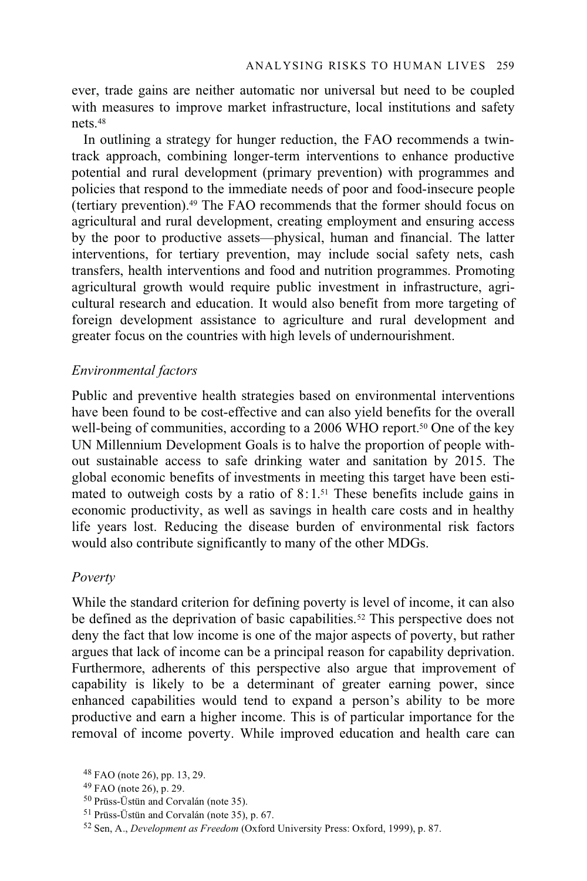ever, trade gains are neither automatic nor universal but need to be coupled with measures to improve market infrastructure, local institutions and safety nets.48

In outlining a strategy for hunger reduction, the FAO recommends a twintrack approach, combining longer-term interventions to enhance productive potential and rural development (primary prevention) with programmes and policies that respond to the immediate needs of poor and food-insecure people (tertiary prevention).49 The FAO recommends that the former should focus on agricultural and rural development, creating employment and ensuring access by the poor to productive assets—physical, human and financial. The latter interventions, for tertiary prevention, may include social safety nets, cash transfers, health interventions and food and nutrition programmes. Promoting agricultural growth would require public investment in infrastructure, agricultural research and education. It would also benefit from more targeting of foreign development assistance to agriculture and rural development and greater focus on the countries with high levels of undernourishment.

# *Environmental factors*

Public and preventive health strategies based on environmental interventions have been found to be cost-effective and can also yield benefits for the overall well-being of communities, according to a 2006 WHO report.<sup>50</sup> One of the key UN Millennium Development Goals is to halve the proportion of people without sustainable access to safe drinking water and sanitation by 2015. The global economic benefits of investments in meeting this target have been estimated to outweigh costs by a ratio of  $8:1^{51}$  These benefits include gains in economic productivity, as well as savings in health care costs and in healthy life years lost. Reducing the disease burden of environmental risk factors would also contribute significantly to many of the other MDGs.

### *Poverty*

While the standard criterion for defining poverty is level of income, it can also be defined as the deprivation of basic capabilities.<sup>52</sup> This perspective does not deny the fact that low income is one of the major aspects of poverty, but rather argues that lack of income can be a principal reason for capability deprivation. Furthermore, adherents of this perspective also argue that improvement of capability is likely to be a determinant of greater earning power, since enhanced capabilities would tend to expand a person's ability to be more productive and earn a higher income. This is of particular importance for the removal of income poverty. While improved education and health care can

<sup>48</sup> FAO (note 26), pp. 13, 29.

<sup>49</sup> FAO (note 26), p. 29.

<sup>50</sup> Prüss-Üstün and Corvalán (note 35).

<sup>51</sup> Prüss-Üstün and Corvalán (note 35), p. 67.

<sup>52</sup> Sen, A., *Development as Freedom* (Oxford University Press: Oxford, 1999), p. 87.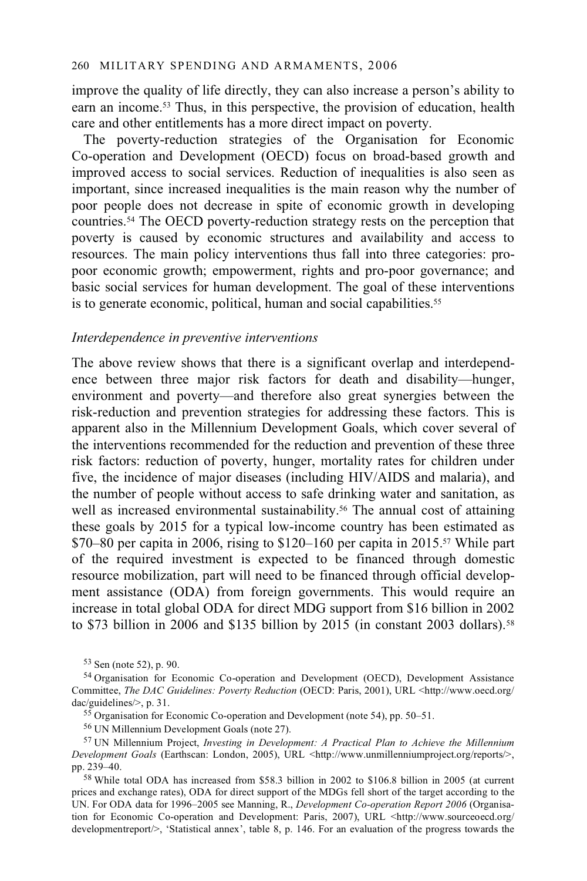improve the quality of life directly, they can also increase a person's ability to earn an income.53 Thus, in this perspective, the provision of education, health care and other entitlements has a more direct impact on poverty.

The poverty-reduction strategies of the Organisation for Economic Co-operation and Development (OECD) focus on broad-based growth and improved access to social services. Reduction of inequalities is also seen as important, since increased inequalities is the main reason why the number of poor people does not decrease in spite of economic growth in developing countries.54 The OECD poverty-reduction strategy rests on the perception that poverty is caused by economic structures and availability and access to resources. The main policy interventions thus fall into three categories: propoor economic growth; empowerment, rights and pro-poor governance; and basic social services for human development. The goal of these interventions is to generate economic, political, human and social capabilities.<sup>55</sup>

# *Interdependence in preventive interventions*

The above review shows that there is a significant overlap and interdependence between three major risk factors for death and disability—hunger, environment and poverty—and therefore also great synergies between the risk-reduction and prevention strategies for addressing these factors. This is apparent also in the Millennium Development Goals, which cover several of the interventions recommended for the reduction and prevention of these three risk factors: reduction of poverty, hunger, mortality rates for children under five, the incidence of major diseases (including HIV/AIDS and malaria), and the number of people without access to safe drinking water and sanitation, as well as increased environmental sustainability.<sup>56</sup> The annual cost of attaining these goals by 2015 for a typical low-income country has been estimated as  $$70-80$  per capita in 2006, rising to  $$120-160$  per capita in 2015.<sup>57</sup> While part of the required investment is expected to be financed through domestic resource mobilization, part will need to be financed through official development assistance (ODA) from foreign governments. This would require an increase in total global ODA for direct MDG support from \$16 billion in 2002 to \$73 billion in 2006 and \$135 billion by 2015 (in constant 2003 dollars).<sup>58</sup>

<sup>53</sup> Sen (note 52), p. 90.

<sup>54</sup> Organisation for Economic Co-operation and Development (OECD), Development Assistance Committee, *The DAC Guidelines: Poverty Reduction* (OECD: Paris, 2001), URL <http://www.oecd.org/ dac/guidelines/>, p. 31.

<sup>&</sup>lt;sup>55</sup> Organisation for Economic Co-operation and Development (note 54), pp. 50–51.

<sup>56</sup> UN Millennium Development Goals (note 27).

<sup>57</sup> UN Millennium Project, *Investing in Development: A Practical Plan to Achieve the Millennium Development Goals* (Earthscan: London, 2005), URL <http://www.unmillenniumproject.org/reports/>, pp. 239–40.

 $58$  While total ODA has increased from \$58.3 billion in 2002 to \$106.8 billion in 2005 (at current prices and exchange rates), ODA for direct support of the MDGs fell short of the target according to the UN. For ODA data for 1996–2005 see Manning, R., *Development Co-operation Report 2006* (Organisation for Economic Co-operation and Development: Paris, 2007), URL <http://www.sourceoecd.org/ developmentreport/>, 'Statistical annex', table 8, p. 146. For an evaluation of the progress towards the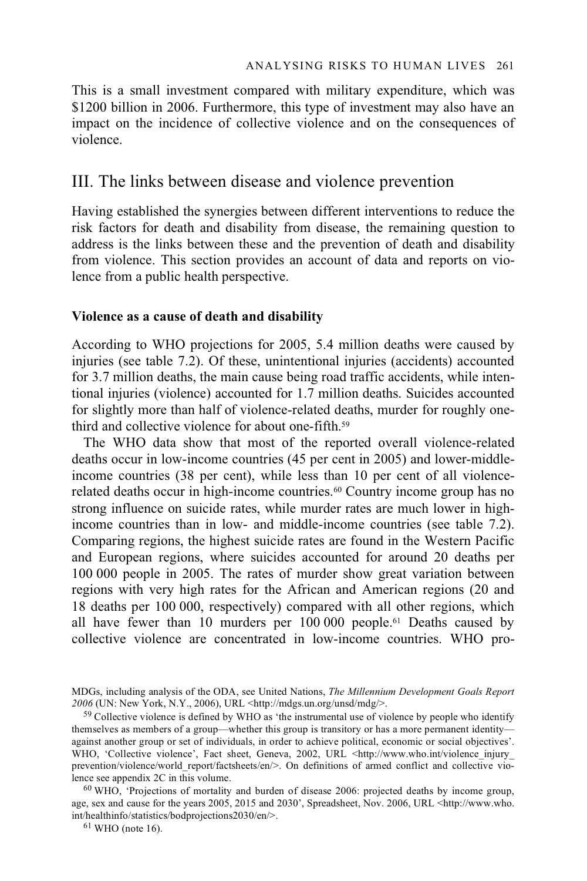This is a small investment compared with military expenditure, which was \$1200 billion in 2006. Furthermore, this type of investment may also have an impact on the incidence of collective violence and on the consequences of violence.

# III. The links between disease and violence prevention

Having established the synergies between different interventions to reduce the risk factors for death and disability from disease, the remaining question to address is the links between these and the prevention of death and disability from violence. This section provides an account of data and reports on violence from a public health perspective.

# **Violence as a cause of death and disability**

According to WHO projections for 2005, 5.4 million deaths were caused by injuries (see table 7.2). Of these, unintentional injuries (accidents) accounted for 3.7 million deaths, the main cause being road traffic accidents, while intentional injuries (violence) accounted for 1.7 million deaths. Suicides accounted for slightly more than half of violence-related deaths, murder for roughly onethird and collective violence for about one-fifth.59

The WHO data show that most of the reported overall violence-related deaths occur in low-income countries (45 per cent in 2005) and lower-middleincome countries (38 per cent), while less than 10 per cent of all violencerelated deaths occur in high-income countries.<sup>60</sup> Country income group has no strong influence on suicide rates, while murder rates are much lower in highincome countries than in low- and middle-income countries (see table 7.2). Comparing regions, the highest suicide rates are found in the Western Pacific and European regions, where suicides accounted for around 20 deaths per 100 000 people in 2005. The rates of murder show great variation between regions with very high rates for the African and American regions (20 and 18 deaths per 100 000, respectively) compared with all other regions, which all have fewer than 10 murders per 100 000 people.61 Deaths caused by collective violence are concentrated in low-income countries. WHO pro-

MDGs, including analysis of the ODA, see United Nations, *The Millennium Development Goals Report 2006* (UN: New York, N.Y., 2006), URL <http://mdgs.un.org/unsd/mdg/>.

<sup>&</sup>lt;sup>59</sup> Collective violence is defined by WHO as 'the instrumental use of violence by people who identify themselves as members of a group—whether this group is transitory or has a more permanent identity against another group or set of individuals, in order to achieve political, economic or social objectives'. WHO, 'Collective violence', Fact sheet, Geneva, 2002, URL <http://www.who.int/violence\_injury\_ prevention/violence/world\_report/factsheets/en/>. On definitions of armed conflict and collective violence see appendix 2C in this volume.<br><sup>60</sup> WHO, 'Projections of mortality and burden of disease 2006: projected deaths by income group,

age, sex and cause for the years 2005, 2015 and 2030', Spreadsheet, Nov. 2006, URL <http://www.who. int/healthinfo/statistics/bodprojections2030/en/>. 61 WHO (note 16).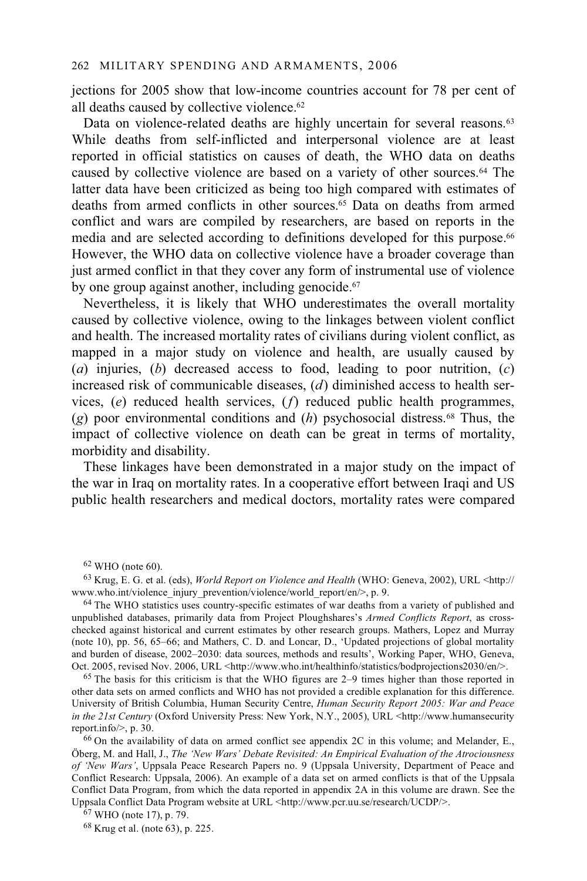jections for 2005 show that low-income countries account for 78 per cent of all deaths caused by collective violence.62

Data on violence-related deaths are highly uncertain for several reasons.<sup>63</sup> While deaths from self-inflicted and interpersonal violence are at least reported in official statistics on causes of death, the WHO data on deaths caused by collective violence are based on a variety of other sources.64 The latter data have been criticized as being too high compared with estimates of deaths from armed conflicts in other sources.65 Data on deaths from armed conflict and wars are compiled by researchers, are based on reports in the media and are selected according to definitions developed for this purpose.<sup>66</sup> However, the WHO data on collective violence have a broader coverage than just armed conflict in that they cover any form of instrumental use of violence by one group against another, including genocide.<sup>67</sup>

Nevertheless, it is likely that WHO underestimates the overall mortality caused by collective violence, owing to the linkages between violent conflict and health. The increased mortality rates of civilians during violent conflict, as mapped in a major study on violence and health, are usually caused by (*a*) injuries, (*b*) decreased access to food, leading to poor nutrition, (*c*) increased risk of communicable diseases, (*d*) diminished access to health services, (*e*) reduced health services, (*f*) reduced public health programmes, (*g*) poor environmental conditions and (*h*) psychosocial distress.68 Thus, the impact of collective violence on death can be great in terms of mortality, morbidity and disability.

These linkages have been demonstrated in a major study on the impact of the war in Iraq on mortality rates. In a cooperative effort between Iraqi and US public health researchers and medical doctors, mortality rates were compared

 $64$  The WHO statistics uses country-specific estimates of war deaths from a variety of published and unpublished databases, primarily data from Project Ploughshares's *Armed Conflicts Report*, as crosschecked against historical and current estimates by other research groups. Mathers, Lopez and Murray (note 10), pp. 56, 65–66; and Mathers, C. D. and Loncar, D., 'Updated projections of global mortality and burden of disease, 2002–2030: data sources, methods and results', Working Paper, WHO, Geneva, Oct. 2005, revised Nov. 2006, URL <http://www.who.int/healthinfo/statistics/bodprojections2030/en/>.

<sup>65</sup> The basis for this criticism is that the WHO figures are  $2-9$  times higher than those reported in other data sets on armed conflicts and WHO has not provided a credible explanation for this difference. University of British Columbia, Human Security Centre, *Human Security Report 2005: War and Peace in the 21st Century* (Oxford University Press: New York, N.Y., 2005), URL <http://www.humansecurity report.info/ $>$ , p. 30. 66 On the availability of data on armed conflict see appendix 2C in this volume; and Melander, E.,

Öberg, M. and Hall, J., *The 'New Wars' Debate Revisited: An Empirical Evaluation of the Atrociousness of 'New Wars'*, Uppsala Peace Research Papers no. 9 (Uppsala University, Department of Peace and Conflict Research: Uppsala, 2006). An example of a data set on armed conflicts is that of the Uppsala Conflict Data Program, from which the data reported in appendix 2A in this volume are drawn. See the Uppsala Conflict Data Program website at URL <http://www.pcr.uu.se/research/UCDP/>. 67 WHO (note 17), p. 79.

68 Krug et al. (note 63), p. 225.

 $62$  WHO (note 60).

<sup>&</sup>lt;sup>63</sup> Krug, E. G. et al. (eds), *World Report on Violence and Health* (WHO: Geneva, 2002), URL <http://<br>www.who.int/violence injury prevention/violence/world report/en/>, p. 9.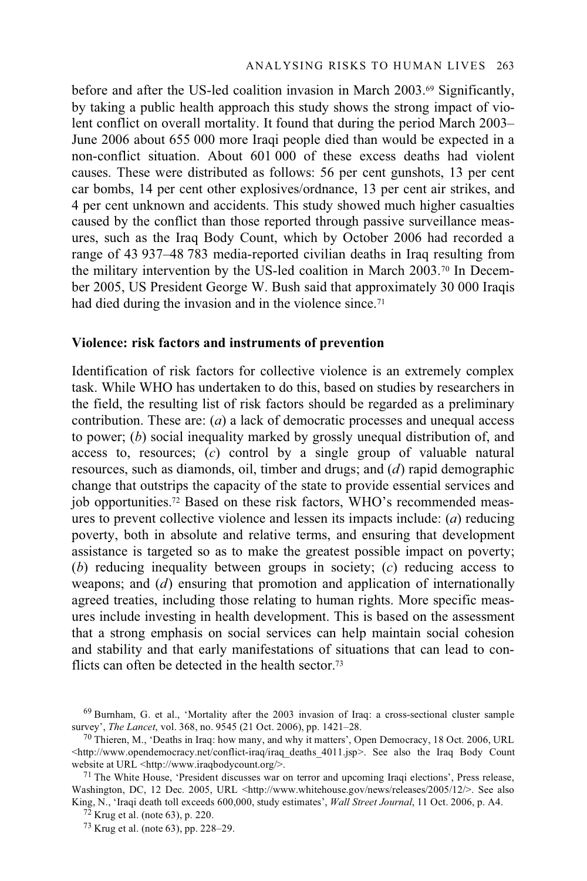before and after the US-led coalition invasion in March 2003.69 Significantly, by taking a public health approach this study shows the strong impact of violent conflict on overall mortality. It found that during the period March 2003– June 2006 about 655 000 more Iraqi people died than would be expected in a non-conflict situation. About 601 000 of these excess deaths had violent causes. These were distributed as follows: 56 per cent gunshots, 13 per cent car bombs, 14 per cent other explosives/ordnance, 13 per cent air strikes, and 4 per cent unknown and accidents. This study showed much higher casualties caused by the conflict than those reported through passive surveillance measures, such as the Iraq Body Count, which by October 2006 had recorded a range of 43 937–48 783 media-reported civilian deaths in Iraq resulting from the military intervention by the US-led coalition in March 2003.70 In December 2005, US President George W. Bush said that approximately 30 000 Iraqis had died during the invasion and in the violence since.<sup>71</sup>

## **Violence: risk factors and instruments of prevention**

Identification of risk factors for collective violence is an extremely complex task. While WHO has undertaken to do this, based on studies by researchers in the field, the resulting list of risk factors should be regarded as a preliminary contribution. These are: (*a*) a lack of democratic processes and unequal access to power; (*b*) social inequality marked by grossly unequal distribution of, and access to, resources; (*c*) control by a single group of valuable natural resources, such as diamonds, oil, timber and drugs; and (*d*) rapid demographic change that outstrips the capacity of the state to provide essential services and job opportunities.72 Based on these risk factors, WHO's recommended measures to prevent collective violence and lessen its impacts include: (*a*) reducing poverty, both in absolute and relative terms, and ensuring that development assistance is targeted so as to make the greatest possible impact on poverty; (*b*) reducing inequality between groups in society; (*c*) reducing access to weapons; and (*d*) ensuring that promotion and application of internationally agreed treaties, including those relating to human rights. More specific measures include investing in health development. This is based on the assessment that a strong emphasis on social services can help maintain social cohesion and stability and that early manifestations of situations that can lead to conflicts can often be detected in the health sector.73

<sup>&</sup>lt;sup>69</sup> Burnham, G. et al., 'Mortality after the 2003 invasion of Iraq: a cross-sectional cluster sample survey', *The Lancet*, vol. 368, no. 9545 (21 Oct. 2006), pp. 1421–28.

<sup>&</sup>lt;sup>70</sup> Thieren, M., 'Deaths in Iraq: how many, and why it matters', Open Democracy, 18 Oct. 2006, URL  $\langle$ http://www.opendemocracy.net/conflict-iraq/iraq\_deaths\_4011.jsp>. See also the Iraq Body Count website at URL  $\langle$ http://www.iraqbodycount.org/>.

 $71$  The White House, 'President discusses war on terror and upcoming Iraqi elections', Press release, Washington, DC, 12 Dec. 2005, URL <http://www.whitehouse.gov/news/releases/2005/12/>. See also King, N., 'Iraqi death toll exceeds 600,000, study estimates', *Wall Street Journal*, 11 Oct. 2006, p. A4. <sup>72</sup> Krug et al. (note 63), p. 220.

<sup>73</sup> Krug et al. (note 63), pp. 228–29.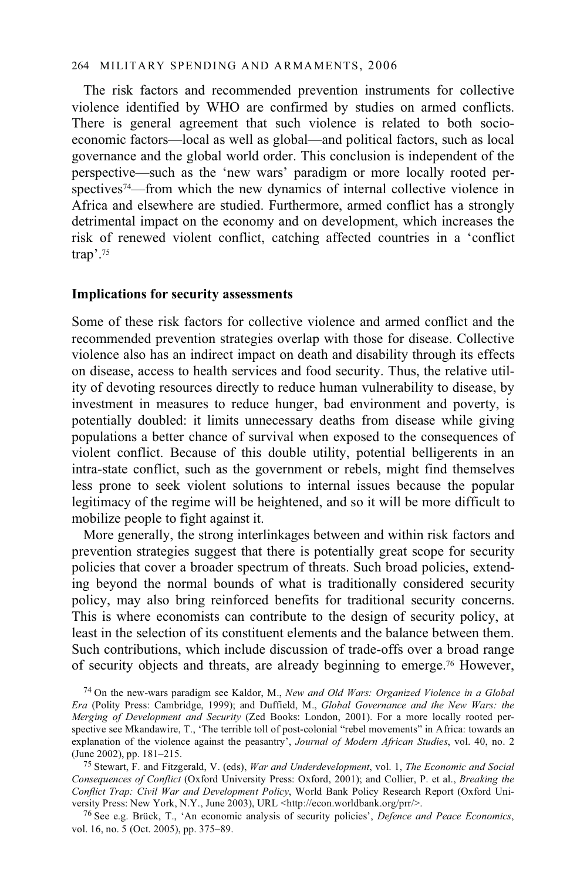#### 264 MILITARY SPENDING AND ARMAMENTS, 2006

The risk factors and recommended prevention instruments for collective violence identified by WHO are confirmed by studies on armed conflicts. There is general agreement that such violence is related to both socioeconomic factors—local as well as global—and political factors, such as local governance and the global world order. This conclusion is independent of the perspective—such as the 'new wars' paradigm or more locally rooted perspectives<sup>74</sup>—from which the new dynamics of internal collective violence in Africa and elsewhere are studied. Furthermore, armed conflict has a strongly detrimental impact on the economy and on development, which increases the risk of renewed violent conflict, catching affected countries in a 'conflict trap'.75

# **Implications for security assessments**

Some of these risk factors for collective violence and armed conflict and the recommended prevention strategies overlap with those for disease. Collective violence also has an indirect impact on death and disability through its effects on disease, access to health services and food security. Thus, the relative utility of devoting resources directly to reduce human vulnerability to disease, by investment in measures to reduce hunger, bad environment and poverty, is potentially doubled: it limits unnecessary deaths from disease while giving populations a better chance of survival when exposed to the consequences of violent conflict. Because of this double utility, potential belligerents in an intra-state conflict, such as the government or rebels, might find themselves less prone to seek violent solutions to internal issues because the popular legitimacy of the regime will be heightened, and so it will be more difficult to mobilize people to fight against it.

More generally, the strong interlinkages between and within risk factors and prevention strategies suggest that there is potentially great scope for security policies that cover a broader spectrum of threats. Such broad policies, extending beyond the normal bounds of what is traditionally considered security policy, may also bring reinforced benefits for traditional security concerns. This is where economists can contribute to the design of security policy, at least in the selection of its constituent elements and the balance between them. Such contributions, which include discussion of trade-offs over a broad range of security objects and threats, are already beginning to emerge.76 However,

74 On the new-wars paradigm see Kaldor, M., *New and Old Wars: Organized Violence in a Global Era* (Polity Press: Cambridge, 1999); and Duffield, M., *Global Governance and the New Wars: the Merging of Development and Security* (Zed Books: London, 2001). For a more locally rooted perspective see Mkandawire, T., 'The terrible toll of post-colonial "rebel movements" in Africa: towards an explanation of the violence against the peasantry', *Journal of Modern African Studies*, vol. 40, no. 2

<sup>75</sup> Stewart, F. and Fitzgerald, V. (eds), *War and Underdevelopment*, vol. 1, *The Economic and Social Consequences of Conflict* (Oxford University Press: Oxford, 2001); and Collier, P. et al., *Breaking the Conflict Trap: Civil War and Development Policy*, World Bank Policy Research Report (Oxford University Press: New York, N.Y., June 2003), URL <http://econ.worldbank.org/prr/>.

<sup>76</sup> See e.g. Brück, T., 'An economic analysis of security policies', *Defence and Peace Economics*, vol. 16, no. 5 (Oct. 2005), pp. 375–89.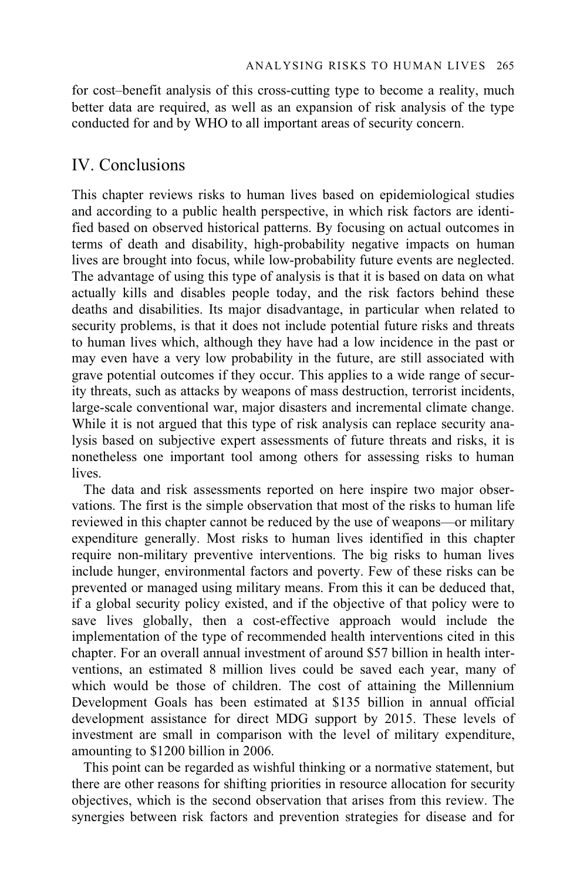for cost–benefit analysis of this cross-cutting type to become a reality, much better data are required, as well as an expansion of risk analysis of the type conducted for and by WHO to all important areas of security concern.

# IV. Conclusions

This chapter reviews risks to human lives based on epidemiological studies and according to a public health perspective, in which risk factors are identified based on observed historical patterns. By focusing on actual outcomes in terms of death and disability, high-probability negative impacts on human lives are brought into focus, while low-probability future events are neglected. The advantage of using this type of analysis is that it is based on data on what actually kills and disables people today, and the risk factors behind these deaths and disabilities. Its major disadvantage, in particular when related to security problems, is that it does not include potential future risks and threats to human lives which, although they have had a low incidence in the past or may even have a very low probability in the future, are still associated with grave potential outcomes if they occur. This applies to a wide range of security threats, such as attacks by weapons of mass destruction, terrorist incidents, large-scale conventional war, major disasters and incremental climate change. While it is not argued that this type of risk analysis can replace security analysis based on subjective expert assessments of future threats and risks, it is nonetheless one important tool among others for assessing risks to human lives.

The data and risk assessments reported on here inspire two major observations. The first is the simple observation that most of the risks to human life reviewed in this chapter cannot be reduced by the use of weapons—or military expenditure generally. Most risks to human lives identified in this chapter require non-military preventive interventions. The big risks to human lives include hunger, environmental factors and poverty. Few of these risks can be prevented or managed using military means. From this it can be deduced that, if a global security policy existed, and if the objective of that policy were to save lives globally, then a cost-effective approach would include the implementation of the type of recommended health interventions cited in this chapter. For an overall annual investment of around \$57 billion in health interventions, an estimated 8 million lives could be saved each year, many of which would be those of children. The cost of attaining the Millennium Development Goals has been estimated at \$135 billion in annual official development assistance for direct MDG support by 2015. These levels of investment are small in comparison with the level of military expenditure, amounting to \$1200 billion in 2006.

This point can be regarded as wishful thinking or a normative statement, but there are other reasons for shifting priorities in resource allocation for security objectives, which is the second observation that arises from this review. The synergies between risk factors and prevention strategies for disease and for